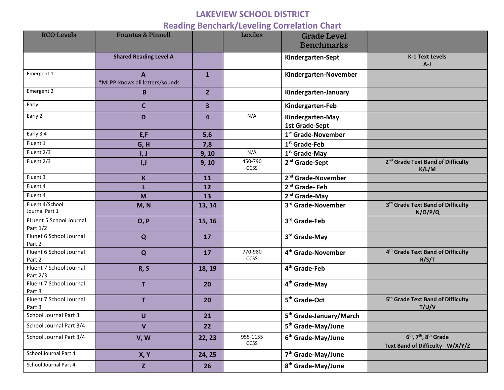## **LAKEVIEW SCHOOL DISTRICT**

## **Reading Benchark/Leveling Correlation Chart**

| <b>RCO Levels</b>                   | <b>Fountas &amp; Pinnell</b>        |                         | ັ<br><b>Lexiles</b>     | <b>Grade Level</b><br><b>Benchmarks</b>   |                                                                                    |
|-------------------------------------|-------------------------------------|-------------------------|-------------------------|-------------------------------------------|------------------------------------------------------------------------------------|
|                                     | <b>Shared Reading Level A</b>       |                         |                         | Kindergarten-Sept                         | <b>K-1 Text Levels</b><br>$A-J$                                                    |
| Emergent 1                          | A<br>*MLPP-knows all letters/sounds | $\mathbf{1}$            |                         | Kindergarten-November                     |                                                                                    |
| Emergent 2                          | B                                   | 2 <sup>2</sup>          |                         | Kindergarten-January                      |                                                                                    |
| Early 1                             | $\mathbf c$                         | $\overline{\mathbf{3}}$ |                         | Kindergarten-Feb                          |                                                                                    |
| Early 2                             | D                                   | $\overline{4}$          | N/A                     | Kindergarten-May<br><b>1st Grade-Sept</b> |                                                                                    |
| Early 3,4                           | E,F                                 | 5,6                     |                         | 1 <sup>st</sup> Grade-November            |                                                                                    |
| Fluent 1                            | G, H                                | 7,8                     |                         | 1 <sup>st</sup> Grade-Feb                 |                                                                                    |
| Fluent 2/3                          | I, J                                | 9, 10                   | N/A                     | 1 <sup>st</sup> Grade-May                 |                                                                                    |
| Fluent 2/3                          | I, J                                | 9, 10                   | 450-790<br><b>CCSS</b>  | 2 <sup>nd</sup> Grade-Sept                | 2 <sup>nd</sup> Grade Text Band of Difficulty<br>K/L/M                             |
| Fluent 3                            | $\mathsf K$                         | 11                      |                         | 2 <sup>nd</sup> Grade-November            |                                                                                    |
| Fluent 4                            |                                     | 12                      |                         | 2 <sup>nd</sup> Grade-Feb                 |                                                                                    |
| Fluent 4                            | M                                   | 13                      |                         | 2 <sup>nd</sup> Grade-May                 |                                                                                    |
| Fluent 4/School<br>Journal Part 1   | M, N                                | 13, 14                  |                         | 3rd Grade-November                        | 3rd Grade Text Band of Difficulty<br>N/O/P/Q                                       |
| FLuent 5 School Journal<br>Part 1/2 | O, P                                | 15, 16                  |                         | 3rd Grade-Feb                             |                                                                                    |
| Flunet 6 School Journal<br>Part 2   | Q                                   | 17                      |                         | 3rd Grade-May                             |                                                                                    |
| Fluent 6 School Journal<br>Part 2   | $\mathbf Q$                         | 17                      | 770-980<br><b>CCSS</b>  | 4 <sup>th</sup> Grade-November            | 4 <sup>th</sup> Grade Text Band of Difficulty<br>R/S/T                             |
| Fluent 7 School Journal<br>Part 2/3 | R, S                                | 18, 19                  |                         | 4 <sup>th</sup> Grade-Feb                 |                                                                                    |
| Fluent 7 School Journal<br>Part 3   | T                                   | 20                      |                         | 4 <sup>th</sup> Grade-May                 |                                                                                    |
| Fluent 7 School Journal<br>Part 3   | T                                   | 20                      |                         | 5 <sup>th</sup> Grade-Oct                 | 5 <sup>th</sup> Grade Text Band of Difficulty<br>T/U/V                             |
| School Journal Part 3               | U                                   | 21                      |                         | 5 <sup>th</sup> Grade-January/March       |                                                                                    |
| School Journal Part 3/4             | $\mathbf v$                         | 22                      |                         | 5 <sup>th</sup> Grade-May/June            |                                                                                    |
| School Journal Part 3/4             | V, W                                | 22, 23                  | 955-1155<br><b>CCSS</b> | 6 <sup>th</sup> Grade-May/June            | $6th$ , 7 <sup>th</sup> , 8 <sup>th</sup> Grade<br>Text Band of Difficulty W/X/Y/Z |
| School Journal Part 4               | <b>X, Y</b>                         | 24, 25                  |                         | 7 <sup>th</sup> Grade-May/June            |                                                                                    |
| School Journal Part 4               | Z                                   | 26                      |                         | 8 <sup>th</sup> Grade-May/June            |                                                                                    |